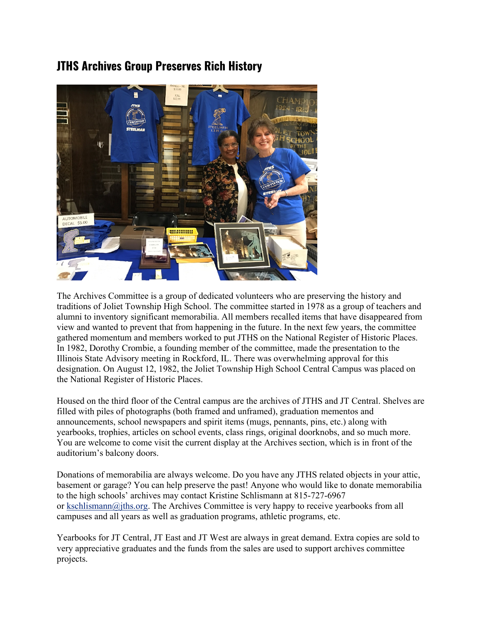## **JTHS Archives Group Preserves Rich History**



The Archives Committee is a group of dedicated volunteers who are preserving the history and traditions of Joliet Township High School. The committee started in 1978 as a group of teachers and alumni to inventory significant memorabilia. All members recalled items that have disappeared from view and wanted to prevent that from happening in the future. In the next few years, the committee gathered momentum and members worked to put JTHS on the National Register of Historic Places. In 1982, Dorothy Crombie, a founding member of the committee, made the presentation to the Illinois State Advisory meeting in Rockford, IL. There was overwhelming approval for this designation. On August 12, 1982, the Joliet Township High School Central Campus was placed on the National Register of Historic Places.

Housed on the third floor of the Central campus are the archives of JTHS and JT Central. Shelves are filled with piles of photographs (both framed and unframed), graduation mementos and announcements, school newspapers and spirit items (mugs, pennants, pins, etc.) along with yearbooks, trophies, articles on school events, class rings, original doorknobs, and so much more. You are welcome to come visit the current display at the Archives section, which is in front of the auditorium's balcony doors.

Donations of memorabilia are always welcome. Do you have any JTHS related objects in your attic, basement or garage? You can help preserve the past! Anyone who would like to donate memorabilia to the high schools' archives may contact Kristine Schlismann at 815-727-6967 or [kschlismann@jths.org.](mailto:kschlismann@jths.org) The Archives Committee is very happy to receive yearbooks from all campuses and all years as well as graduation programs, athletic programs, etc.

Yearbooks for JT Central, JT East and JT West are always in great demand. Extra copies are sold to very appreciative graduates and the funds from the sales are used to support archives committee projects.